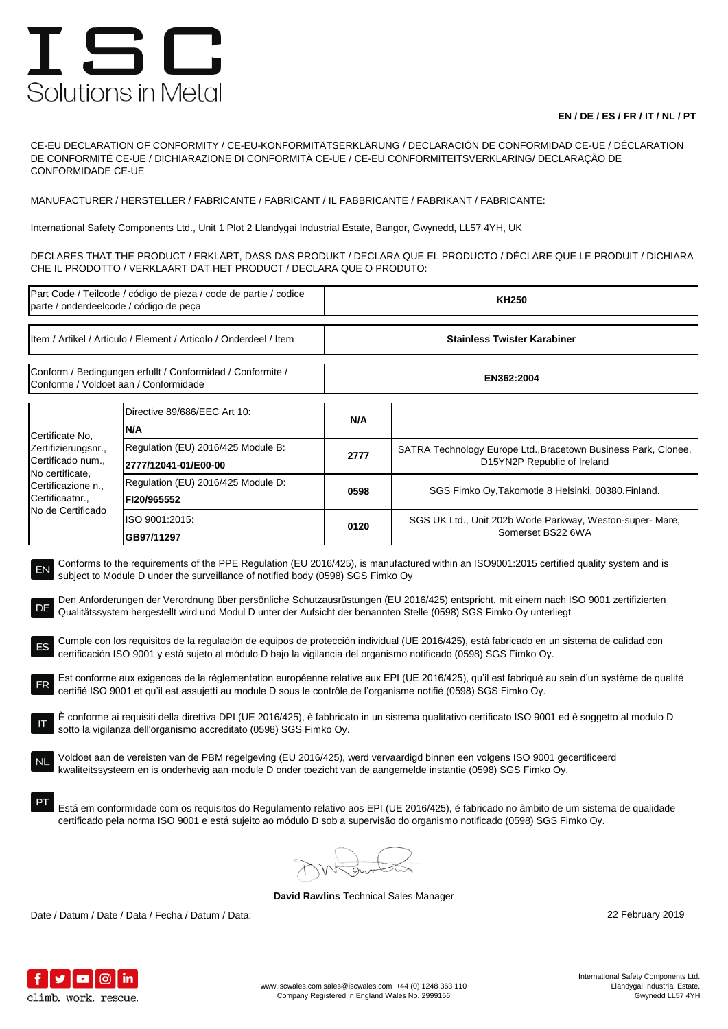## ISC Solutions in Metal

## **EN / DE / ES / FR / IT / NL / PT**

CE-EU DECLARATION OF CONFORMITY / CE-EU-KONFORMITÄTSERKLÄRUNG / DECLARACIÓN DE CONFORMIDAD CE-UE / DÉCLARATION DE CONFORMITÉ CE-UE / DICHIARAZIONE DI CONFORMITÀ CE-UE / CE-EU CONFORMITEITSVERKLARING/ DECLARAÇÃO DE CONFORMIDADE CE-UE

MANUFACTURER / HERSTELLER / FABRICANTE / FABRICANT / IL FABBRICANTE / FABRIKANT / FABRICANTE:

International Safety Components Ltd., Unit 1 Plot 2 Llandygai Industrial Estate, Bangor, Gwynedd, LL57 4YH, UK

DECLARES THAT THE PRODUCT / ERKLÄRT, DASS DAS PRODUKT / DECLARA QUE EL PRODUCTO / DÉCLARE QUE LE PRODUIT / DICHIARA CHE IL PRODOTTO / VERKLAART DAT HET PRODUCT / DECLARA QUE O PRODUTO:

| Part Code / Teilcode / código de pieza / code de partie / codice<br>parte / onderdeelcode / código de peça                                                                                                                                                                                                                                                                                                                                                                                                                                                                                                                                                                                                                                                                                                                                                                                                                                                                                                                                                                                                                                                                                                                                                                                                                                                                                                                                                                                                                                                                                                                                                                                                                                                                                             |                                                            | <b>KH250</b>                       |                                                                                               |  |  |
|--------------------------------------------------------------------------------------------------------------------------------------------------------------------------------------------------------------------------------------------------------------------------------------------------------------------------------------------------------------------------------------------------------------------------------------------------------------------------------------------------------------------------------------------------------------------------------------------------------------------------------------------------------------------------------------------------------------------------------------------------------------------------------------------------------------------------------------------------------------------------------------------------------------------------------------------------------------------------------------------------------------------------------------------------------------------------------------------------------------------------------------------------------------------------------------------------------------------------------------------------------------------------------------------------------------------------------------------------------------------------------------------------------------------------------------------------------------------------------------------------------------------------------------------------------------------------------------------------------------------------------------------------------------------------------------------------------------------------------------------------------------------------------------------------------|------------------------------------------------------------|------------------------------------|-----------------------------------------------------------------------------------------------|--|--|
| Item / Artikel / Articulo / Element / Articolo / Onderdeel / Item                                                                                                                                                                                                                                                                                                                                                                                                                                                                                                                                                                                                                                                                                                                                                                                                                                                                                                                                                                                                                                                                                                                                                                                                                                                                                                                                                                                                                                                                                                                                                                                                                                                                                                                                      |                                                            | <b>Stainless Twister Karabiner</b> |                                                                                               |  |  |
| Conform / Bedingungen erfullt / Conformidad / Conformite /<br>Conforme / Voldoet aan / Conformidade                                                                                                                                                                                                                                                                                                                                                                                                                                                                                                                                                                                                                                                                                                                                                                                                                                                                                                                                                                                                                                                                                                                                                                                                                                                                                                                                                                                                                                                                                                                                                                                                                                                                                                    |                                                            | EN362:2004                         |                                                                                               |  |  |
| Certificate No,<br>Zertifizierungsnr.,<br>Certificado num.,<br>No certificate,<br>Certificazione n.,<br>Certificaatnr.,<br>No de Certificado                                                                                                                                                                                                                                                                                                                                                                                                                                                                                                                                                                                                                                                                                                                                                                                                                                                                                                                                                                                                                                                                                                                                                                                                                                                                                                                                                                                                                                                                                                                                                                                                                                                           | Directive 89/686/EEC Art 10:<br>N/A                        | N/A                                |                                                                                               |  |  |
|                                                                                                                                                                                                                                                                                                                                                                                                                                                                                                                                                                                                                                                                                                                                                                                                                                                                                                                                                                                                                                                                                                                                                                                                                                                                                                                                                                                                                                                                                                                                                                                                                                                                                                                                                                                                        | Regulation (EU) 2016/425 Module B:<br>2777/12041-01/E00-00 | 2777                               | SATRA Technology Europe Ltd., Bracetown Business Park, Clonee,<br>D15YN2P Republic of Ireland |  |  |
|                                                                                                                                                                                                                                                                                                                                                                                                                                                                                                                                                                                                                                                                                                                                                                                                                                                                                                                                                                                                                                                                                                                                                                                                                                                                                                                                                                                                                                                                                                                                                                                                                                                                                                                                                                                                        | Regulation (EU) 2016/425 Module D:<br>FI20/965552          | 0598                               | SGS Fimko Oy, Takomotie 8 Helsinki, 00380. Finland.                                           |  |  |
|                                                                                                                                                                                                                                                                                                                                                                                                                                                                                                                                                                                                                                                                                                                                                                                                                                                                                                                                                                                                                                                                                                                                                                                                                                                                                                                                                                                                                                                                                                                                                                                                                                                                                                                                                                                                        | ISO 9001:2015:<br>GB97/11297                               | 0120                               | SGS UK Ltd., Unit 202b Worle Parkway, Weston-super-Mare,<br>Somerset BS22 6WA                 |  |  |
| Conforms to the requirements of the PPE Regulation (EU 2016/425), is manufactured within an ISO9001:2015 certified quality system and is<br>EN<br>subject to Module D under the surveillance of notified body (0598) SGS Fimko Oy<br>Den Anforderungen der Verordnung über persönliche Schutzausrüstungen (EU 2016/425) entspricht, mit einem nach ISO 9001 zertifizierten<br>DE<br>Qualitätssystem hergestellt wird und Modul D unter der Aufsicht der benannten Stelle (0598) SGS Fimko Oy unterliegt<br>Cumple con los requisitos de la regulación de equipos de protección individual (UE 2016/425), está fabricado en un sistema de calidad con<br>ES<br>certificación ISO 9001 y está sujeto al módulo D bajo la vigilancia del organismo notificado (0598) SGS Fimko Oy.<br>Est conforme aux exigences de la réglementation européenne relative aux EPI (UE 2016/425), qu'il est fabriqué au sein d'un système de qualité<br>certifié ISO 9001 et qu'il est assujetti au module D sous le contrôle de l'organisme notifié (0598) SGS Fimko Oy.<br>È conforme ai requisiti della direttiva DPI (UE 2016/425), è fabbricato in un sistema qualitativo certificato ISO 9001 ed è soggetto al modulo D<br>sotto la vigilanza dell'organismo accreditato (0598) SGS Fimko Oy.<br>Voldoet aan de vereisten van de PBM regelgeving (EU 2016/425), werd vervaardigd binnen een volgens ISO 9001 gecertificeerd<br>kwaliteitssysteem en is onderhevig aan module D onder toezicht van de aangemelde instantie (0598) SGS Fimko Oy.<br>Está em conformidade com os requisitos do Regulamento relativo aos EPI (UE 2016/425), é fabricado no âmbito de um sistema de qualidade<br>certificado pela norma ISO 9001 e está sujeito ao módulo D sob a supervisão do organismo notificado (0598) SGS Fimko Oy. |                                                            |                                    |                                                                                               |  |  |
|                                                                                                                                                                                                                                                                                                                                                                                                                                                                                                                                                                                                                                                                                                                                                                                                                                                                                                                                                                                                                                                                                                                                                                                                                                                                                                                                                                                                                                                                                                                                                                                                                                                                                                                                                                                                        |                                                            |                                    |                                                                                               |  |  |

**David Rawlins** Technical Sales Manager

Date / Datum / Date / Data / Fecha / Datum / Data: 22 February 2019